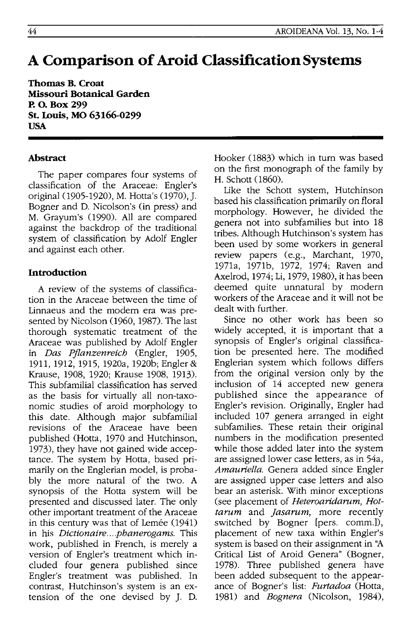# **A Comparison of Aroid ClassiftcationSystems**

**Thomas B. Croat Missouri Botanical Garden p. o. Box 299 St. Louis, MO 63166-0299 USA** 

# **Abstract**

The paper compares four systems of classification of the Araceae: Engler's original (1905-1920), M. Hotta's (1970), J. Bogner and D. Nicolson's (in press) and M. Grayum's (1990). All are compared against the backdrop of the traditional system of classification by Adolf Engler and against each other.

# **Introduction**

A review of the systems of classification in the Araceae between the time of Linnaeus and the modern era was presented by Nicolson (1960,1987). The last thorough systematic treatment of the Araceae was published by Adolf Engler in *Das Pjlanzenreich* (Engler, 1905, 1911, 1912, 1915, 1920a, 1920b; Engler & Krause, 1908, 1920; Krause 1908, 1913). This subfamilial classification has served as the basis for virtually all non-taxonomic studies of aroid morphology to this date. Although major subfamilial revisions of the Araceae have been published (Hotta, 1970 and Hutchinson, 1973), they have not gained wide acceptance. The system by Hotta, based primarily on the Englerian model, is probably the more natural of the two. A synopsis of the Hotta system will be presented and discussed later. The only other important treatment of the Araceae in this century was that of Lemée (1941) in his *Dictionaire .... phanerogams.* This work, published in French, is merely a version of Engler's treatment which included four genera published since Engler's treatment was published. In contrast, Hutchinson's system is an extension of the one devised by J. D.

Hooker (1883) which in turn was based on the first monograph of the family by H. Schott (1860).

Like the Schott system, Hutchinson based his classification primarily on floral morphology. However, he divided the genera not into subfamilies but into 18 tribes. Although Hutchinson's system has been used by some workers in general review papers (e.g., Marchant, 1970, 1971a, 1971b, 1972, 1974; Raven and Axelrod, 1974; Li, 1979, 1980), it has been deemed quite unnatural by modern workers of the Araceae and it will not be dealt with further.

Since no other work has been so widely accepted, it is important that a synopsis of Engler's original classification be presented here. The modified Englerian system which follows differs from the original version only by the inclusion of 14 accepted new genera published since the appearance of Engler's revision. Originally, Engler had included 107 genera arranged in eight subfamilies. These retain their original numbers in the modification presented while those added later into the system are assigned lower case letters, as in 54a, *Amauriella.* Genera added since Engler are assigned upper case letters and also bear an asterisk. With minor exceptions (see placement of *Heteroaridarnm, Hottarum* and *Jasarum*, more recently switched by Bogner [pers. comm.]), placement of new taxa within Engler's system is based on their assignment in "A Critical List of Aroid Genera" (Bogner, 1978). Three published genera have been added subsequent to the appearance of Bogner's list: *Furtadoa* (Hotta, 1981) and *Bognera* (Nicolson, 1984),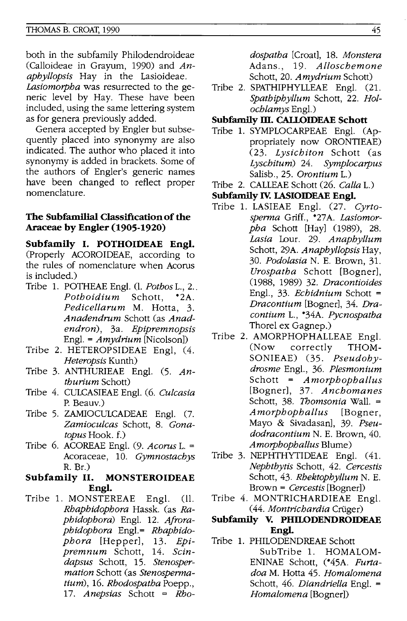both in the subfamily Philodendroideae (Calloideae in Grayum, 1990) and *Anaphyllopsis* Hay in the Lasioideae. *Lasiomorpha* was resurrected to the generic level by Hay. These have been included, using the same lettering system as for genera previously added.

Genera accepted by Engler but subsequently placed into synonymy are also indicated. The author who placed it into synonymy is added in brackets. Some of the authors of Engler's generic names have been changed to reflect proper nomenclature.

#### **The SubfamiJial Classification of the Araceae by Engler (1905-1920)**

**Subfamily I. POTHOIDEAE Engl.**  (Properly ACOROIDEAE, according to the rules of nomenclature when Acarus is included.)

- Tribe 1. POTHEAE Engl. (1. *Pothos* L., 2 .. *Pothoidium* Schott, \*2A. *Pedicellarum* M. Hotta, 3. *Anadendrum* Schott (as *Anadendron),* 3a. *Epipremnopsis*  Engl. = *Amydrium* [Nicolson])
- Tribe 2. HETEROPSIDEAE Engl, (4. *Heteropsis* Kunth)
- Tribe 3. ANTHURIEAE Engl. (5. *Anthurium* Schott)
- Tribe 4. CULCASlEAE Engl. (6. *Culcasia*  P. Beauv.)
- Tribe 5. ZAMIOCULCADEAE Engl. (7. *Zamioculcas* Schott, 8. *Gonatopus* Hook. f.)
- Tribe 6. ACOREAE Engl. (9. *Acorus* L. = Acoraceae, 10. *Gymnostachys*  R. Br.)

#### **Subfamily II. MONSTEROIDEAE Engl.**

Tribe 1. MONSTEREAE Eng!. (ll. *Rhaphidophora* Hassk. (as *Raphidophora)* Engl. 12. *Afrora*phidophora Engl.= Rhaphido*phora* [Hepper], 13. *Epipremnum* Schott, 14. *Scindapsus* Schott, 15. *Stenospermation* Schott (as *Stenospermatium),* 16. *Rhodospatha* Poepp., *17. Anepsias* Schott = *Rho-*

*dospatha* [Croat], 18. *Monstera*  Adans., 19. *Alloschemone*  Schott, 20. *Amydrium* Schott)

Tribe 2. SPATHIPHYLLEAE Engl. (21. *Spathiphyllum* Schott, 22. *Holochlamys* Engl.)

## **Subfamily m. CALLOIDEAE Schott**

- Tribe 1. SYMPLOCARPEAE Engl. (Appropriately now ORONTIEAE) *(23. Lysichiton* Schott (as *Lyschitum)* 24. *Symplocarpus*  Salisb., 25. *Orontium* L.)
- Tribe 2. CALLEAE Schott (26. *Calla* L.)
- **Subfamily Iv. LASIOIDEAE Engl.**
- Tribe 1. LASIEAE Engl. (27. *Cyrtosperma* Griff., \*27A. *Lasiomorpha Schott* [Hay] (1989), 28. *Lasia* Lour. 29. *Anaphyllum*  Schott, 29A. *Anaphyllopsis* Hay, *30. Podolasia* N. E. Brown, 31. *Urospatha* Schott [Bogner], (1988, 1989) 32. *Dracontioides*  Engl., 33. *Echidnium* Schott <sup>=</sup> *Dracontium* [Bogner], 34. *Dracontium* L., \*34A. *Pycnospatha*  Thorel ex Gagnep.)
- Tribe 2. AMORPHOPHALLEAE Eng!. (Now correctly THOM-SONIEAE) (35. *Pseudohydrosme* Engl., 36. *Plesmonium*  Schott = *A morphophallus*  [Bogner], 37. *Anchomanes*  Schott, 38. *1bomsonia* Wall. <sup>=</sup> *Amorphophallus* [Bogner, Mayo & Sivadasan], 39. *Pseudodracontium* N. E. Brown, 40. *Amorphophallus* Blume)
- Tribe 3. NEPHTHYTIDEAE Engl. (41. *Nephthytis* Schott, 42. *Cercestis*  Schott, 43. *Rhektophyllum* N. E. Brown = *Cercestis* [Bogner])
- Tribe 4. MONTRICHARDIEAE Eng!. (44. *Montrichardia* Cruger)

## **Subfamily V. PHll.ODENDROIDEAE Engl.**

Tribe 1. PHILODENDREAE Schott SubTribe 1. HOMALOM-ENINAE Schott, (\*45A. *Furtadoa* M. Hotta 45. *Homalomena*  Schott, 46. *Diandriella* Engl. <sup>=</sup> *Homalomena* [Bogner])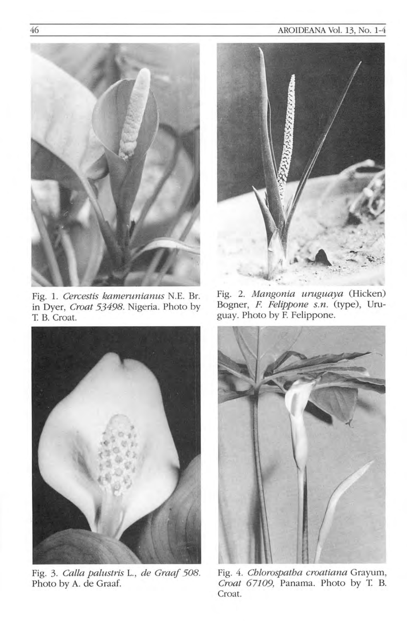## AROIDEANA Vol. 13, No. 1-4



Fig. 1. *Cercestis kamerunianus* N.E. Br. in Dyer, *Croat* 53498. Nigeria. Photo by T. B. Croat.



Fig. 3. *Calla palustris L., de Graaf 508.* Photo by A. de Graaf.



Fig. 2. *Mangonia uruguaya* (Hicken) Bogner, *F. Felippone s.n.* (type), Uruguay. Photo by F. Felippone.



Fig. 4. *Chlorospatha croatiana* Grayum, *Croat 67109,* Panama. Photo by T B. Croat.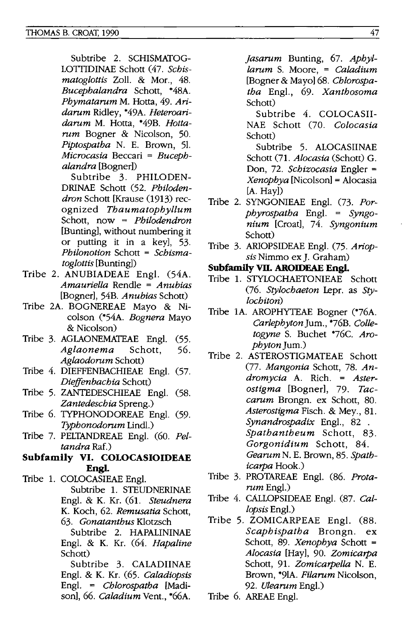Subtribe 2. SCHISMATOG-LOTTIDINAE Schott (47. *Scbis*matoglottis Zoll. & Mor., 48. *Bueepbalandra* Schott, \*48A. *Pbymatarum* M. Hotta, 49. *Aridarum* Ridley, \*49A. *Heteroaridarum* M. Hotta, \*49B. *Hottarum* Bogner & Nicolson, 50. *Piptospatba* N. E. Brown, 51. *Mieroeasia* Beccari = *Bueepbalandra* [Bogner])

Subtribe 3. PHILODEN-DRINAE Schott (52. *Pbilodendron* Schott [Krause (1913) recognized *Tbaumatopbyllum*  Schott, now = *Pbilodendron*  [Bunting), without numbering it or putting it in a key), 53. *Pbilonotion* Schott = *Sebismato glottis* [Bunting])

- Tribe 2. ANUBIADEAE Eng!. (54A. *Amauriella* Rendle = *Anubias*  [Bogner), 54B. *Anubias* Schott)
- Tribe 2A. BOGNEREAE Mayo & Nicolson (\*54A. *Bognera* Mayo & Nicolson)
- Tribe 3. AGLAONEMATEAE Engl. (55. *Aglaonema* Schott, 56. *Aglaodorum* Schott)
- Tribe 4. DIEFFENBACHIEAE Engl. (57. *Dieffenbaebia* Schott)
- Tribe 5. ZANTEDESCHIEAE Eng!. (58. *Zantedesebia* Spreng.)
- Tribe 6. TYPHONODOREAE Eng!. (59. *Typbonodorum* Lind!.)
- Tribe 7. PELTANDREAE Engl. (60. Pel*tandra* Raf.)
- **Subfamily VI. COLOCASIOIDEAE Engl.**
- Tribe 1. COLOCASIEAE Eng!. Subtribe 1. STEUDNERINAE Eng!. & K. Kr. (61. *Steudnera*  K. Koch, 62. *Remusatia* Schott, *63. Gonatantbus* Klotzsch Subtribe 2. HAPALININAE

Eng!. & K. Kr. (64. *Hapaline*  Schott)

Subtribe 3. CALADIINAE Eng!. & K. Kr. (65. *Caladiopsis*  Eng!. = *Cblorospatba* [Madison), 66. *Caladium* Vent., \*66A.

*jasarum* Bunting, 67. *Apbyllarum* S. Moore, = *Caladium*  [Bogner & Mayo) 68. *Cblorospatba* Eng!., 69. *Xantbosoma*  Schott)

Subtribe 4. COLOCASII-NAE Schott (70. *Coloeasia*  Schott)

Subtribe 5. ALOCASIINAE Schott (71. *Aloeasia* (Schott) G. Don, 72. *Sebizoeasia* Engler <sup>=</sup> *Xenopbya* [Nicolson) = Alocasia [A. Hay])

- Tribe 2. SYNGONIEAE Eng!. (73. *Porpbyrospatba* Eng!. = *Syngonium* [Croat), 74. *Syngonium*  Schott)
- Tribe 3. ARIOPSIDEAE Eng!. (75. *Ariopsis* Nimmo ex J. Graham)

## **Subfamily VII. AROIDEAE Engl.**

- Tribe 1. STYLOCHAETONIEAE Schott *(76. Styloebaeton* l.epr. as *Styloebiton)*
- Tribe 1A. AROPHYTEAE Bogner (\*76A. *Carlepbyton]um.,* \*76B. *Colletogyne* S. Buchet \*76c. *Aropbyton* ]um.)
- Tribe 2. ASTEROSTIGMATEAE Schott *(77. Mangonia* Schott, 78. *Andromyeia* A. Rich. = *Asterostigma* [Bogner), 79. *Taeearum* Brongn. ex Schott, 80. *Asterostigma* Fisch. & Mey., 81. *Synandrospadix* Eng!., 82 . *Spatbantbeum* Schott, 83. *Gorgonidium* Schott, 84. *Gearum* N. E. Brown, 85. *Spatbiearpa* Hook.)
- Tribe 3. PROTAREAE Eng!. (86. *Protarum* Eng!.)
- Tribe 4. CALLOPSIDEAE Eng!. (87. *Callopsis* Eng!.)
- Tribe 5. ZOMICARPEAE Engl. (88. *Seapbispatba* Brongn. ex Schott, 89. *Xenopbya* Schott <sup>=</sup> *Aloeasia* [Hay), 90. *Zomiearpa*  Schott, 91. *Zomiearpella* N. E. Brown, \*91A. *Filarum* Nicolson, *92. Ulearum* Eng!.)
- Tribe 6. AREAE Engl.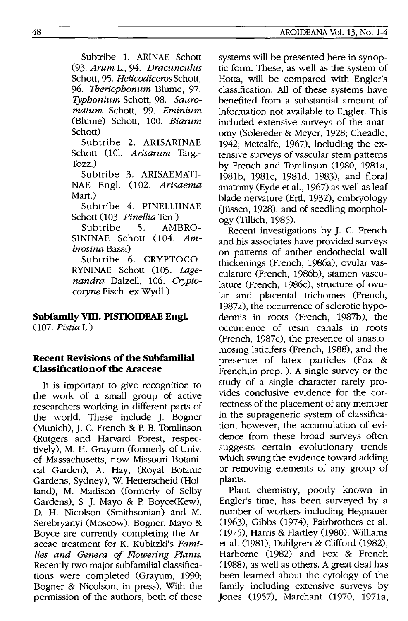Subtribe 1. ARINAE Schott *(93. Arnm* 1., 94. *Dracunculus*  Schott, 95. *Helicodiceros* Schott, *96. Tberiophonum* Blume, 97. *Typhonium* Schott, 98. *Sauromatum* Schott, 99. *Eminium*  (Blume) Schott, 100. *Biarum* Schott)

Subtribe 2. ARISARINAE Schott (10l. Arisarum Targ.-Tozz.)

Subtribe 3. ARISAEMATI-NAE Engl. 002. *Arisaema*  Mart.)

Subtribe 4. PlNELLIINAE Schott 003. *Pinellia* Ten.)

Subtribe 5. AMBRO-SININAE Schott (104. Am*brosina* Bassi)

Subtribe 6. CRYPTOCO-RYNINAE Schott (105. Lage*nandra* Dalzell, 106. *Cryptocoryne* Fisch. ex Wydl.)

## **Subfamily vm. PISTIOIDEAE Engl.**

*007. Pistia* 1.)

## **Recent Revisions of the Subfamilial Classification of the Araceae**

It is important to give recognition to the work of a small group of active researchers working in different parts of the world. These include J. Bogner (Munich), J. c. French & P. B. Tomlinson (Rutgers and Harvard Forest, respectively), M. H. Grayum (formerly of Univ. of Massachusetts, now Missouri Botanical Garden), A. Hay, (Royal Botanic Gardens, Sydney), W. Hetterscheid (Holland), M. Madison (formerly of Selby Gardens), S. J. Mayo & P. Boyce(Kew), D. H. Nicolson (Smithsonian) and M. Serebryanyi (Moscow). Bogner, Mayo & Boyce are currently completing the Araceae treatment for K. Kubitzki's *Families and Genera of Flowering Plants.*  Recently two major subfamilial classifications were completed (Grayum, 1990; Bogner & Nicolson, in press). With the permission of the authors, both of these systems will be presented here in synoptic form. These, as well as the system of Hotta, will be compared with Engler's classification. All of these systems have benefited from a substantial amount of information not available to Engler. This included extensive surveys of the anatomy (Solereder & Meyer, 1928; Cheadle, 1942; Metcalfe, 1967), including the extensive surveys of vascular stem patterns by French and Tomlinson (1980, 1981a, 1981b, 1981c, 1981d, 1983), and floral anatomy (Eyde et aI., 1967) as well as leaf blade nervature (Ertl, 1932), embryology (Jüssen, 1928), and of seedling morphology (Tillich, 1985).

Recent investigations by J. c. French and his associates have provided surveys on patterns of anther endothecial wall thickenings (French, 1986a), ovular vasculature (French, 1986b), stamen vasculature (French, 1986c), structure of ovular and placental trichomes (French, 1987a), the occurrence of sclerotic hypodermis in roots (French, 1987b), the occurrence of resin canals in roots (French, 1987c), the presence of anastomosing laticifers (French, 1988), and the presence of latex particles (Fox & French, in prep. ). A single survey or the study of a single character rarely provides conclusive evidence for the correctness of the placement of any member in the suprageneric system of classification; however, the accumulation of evidence from these broad surveys often suggests certain evolutionary trends which swing the evidence toward adding or removing elements of any group of plants.

Plant chemistry, poorly known in Engler's time, has been surveyed by a number of workers including Hegnauer (1963), Gibbs (1974), Fairbrothers et al.  $(1975)$ , Harris & Hartley  $(1980)$ , Williams et al. (981), Dahlgren & Clifford (982), Harborne (1982) and Fox & French (988), as well as others. A great deal has been learned about the cytology of the family including extensive surveys by Jones (1957), Marchant (1970, 1971a,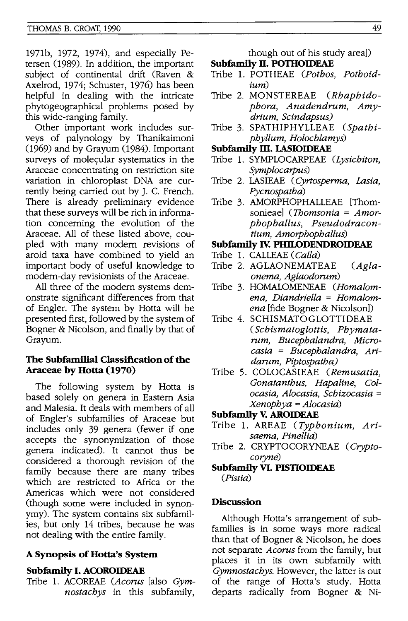1971b, 1972, 1974), and especially Petersen (989). In addition, the important subject of continental drift (Raven & Axelrod, 1974; Schuster, 1976) has been helpful in dealing with the intricate phytogeographical problems posed by this wide-ranging family.

Other important work includes surveys of palynology by Thanikaimoni (969) and by Grayum (1984). Important surveys of molecular systematics in the Araceae concentrating on restriction site variation in chloroplast DNA are currently being carried out by J. C. French. There is already preliminary evidence that these surveys will be rich in information concerning the evolution of the Araceae. All of these listed above, coupled with many modem revisions of aroid taxa have combined to yield an important body of useful knowledge to modem-day revisionists of the Araceae.

All three of the modem systems demonstrate Significant differences from that of Engler. The system by Hotta will be presented first, followed by the system of Bogner & Nicolson, and finally by that of Grayum.

## **The Subfamilial Classification of the Araceae by Hotta (1970)**

The following system by Hotta is based solely on genera in Eastern Asia and Malesia. It deals with members of all of Engler's subfamilies of Araceae but includes only 39 genera (fewer if one accepts the synonymization of those genera indicated). It cannot thus be considered a thorough revision of the family because there are many tribes which are restricted to Africa or the Americas which were not considered (though some were included in synonymy). The system contains six subfamilies, but only 14 tribes, because he was not dealing with the entire family.

## **A Synopsis of Hotta's System**

## **Subfamlly I. ACOROIDEAE**

Tribe 1. ACOREAE *(Acorns* [also *Gymnostacbys* in this subfamily,

though out of his study area)) **Subfamily II. POTHOIDEAE** 

- Tribe 1. POTHEAE *(Potbos, Potboidium)*
- Tribe 2. MONSTEREAE *(Rbapbido*pbora, Anadendrum, Amγ*drium, Scindapsus)*
- Tribe 3. SPATHIPHYLLEAE *(Spatbipbyllum, Holocblamys)*

#### **Subfamily m. LASIOIDEAE**

- Tribe 1. SYMPLOCARPEAE *(Lysicbiton, Symplocarpus)*
- Tribe 2. LASIEAE *(Cyrtosperma, Lasia, Pycnospatba)*
- Tribe 3. AMORPHOPHALLEAE [Thomsonieae] *(1bomsonia* = *Amorpbopballus, Pseudodracontium, Amorpbopballus)*

#### **Subfamily Iv. PHITODENDROIDEAE**

- Tribe 1. CALLEAE *(Calla)*
- Tribe 2. AGLAONEMATEAE *(Aglaonema, Aglaodorum)*
- Tribe 3. HOMALOMENEAE *(Homalomena, Diandriella* = *Homalomena* [fide Bogner & Nicolson))
- Tribe 4. SCHISMATOGLOTTIDEAE *(Scbismatoglottis, Pbymatarum, Bucepbalandra, Microcasia* = *Bucepbalandra, Aridarum, Piptospatba)*
- Tribe 5. COLOCASIEAE (Remusatia, *Gonatantbus, Hapaline, Colocasia, Alocasia, Scbizocasia* <sup>=</sup> *Xenopbya* = *Alocasia)*

#### **Subfamlly V. AROIDEAE**

- Tribe 1. AREAE *(Typbonium, Arisaema, Pinellia)*
- Tribe 2. CRYPTOCORYNEAE *(Cryptocoryne)*
- **Subfamily VI. PISTIOIDEAE**  *(Pistia)*

## **Discussion**

Although Hotta's arrangement of subfamilies is in some ways more radical than that of Bogner & Nicolson, he does not separate *Acorns* from the family, but places it in its own subfamily with *Gymnostacbys.* However, the latter is out of the range of Hotta's study. Hotta departs radically from Bogner & Ni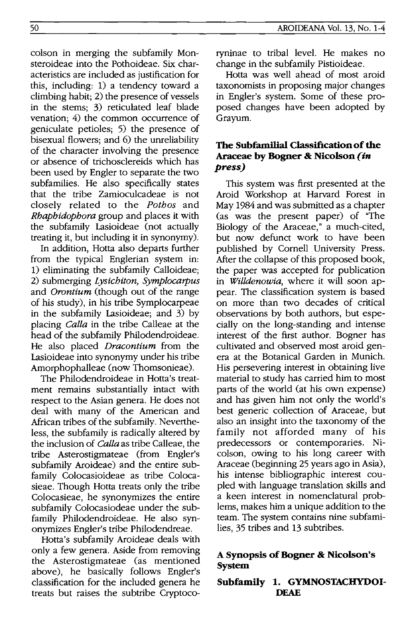colson in merging the subfamily Monsteroideae into the Pothoideae. Six characteristics are included as justification for this, including: 1) a tendency toward a climbing habit; 2) the presence of vessels in the stems; 3) reticulated leaf blade venation; 4) the common occurrence of geniculate petioles; 5) the presence of bisexual flowers; and 6) the unreliability of the character involving the presence or absence of trichosclereids which has been used by Engler to separate the two subfamilies. He also specifically states that the tribe Zamioculcadeae is not closely related to the *Pothos* and *Rhaphidophora* group and places it with the subfamily Lasioideae (not actually treating it, but including it in synonymy).

In addition, Hotta also departs further from the typical Englerian system in: 1) eliminating the subfamily Calloideae; 2) submerging *Lysichiton, Symplocarpus*  and *Orontium* (though out of the range of his study), in his tribe Symplocarpeae in the subfamily Lasioideae; and 3) by placing *Calla* in the tribe Calleae at the head of the subfamily Philodendroideae. He also placed *Dracontium* from the Lasioideae into synonymy under his tribe Amorphophalleae (now Thomsonieae).

The Philodendroideae in Hotta's treatment remains substantially intact with respect to the Asian genera. He does not deal with many of the American and African tribes of the subfamily. Nevertheless, the subfamily is radically altered by the inclusion of *Calla* as tribe Calleae, the tribe Asterostigmateae (from Engler's subfamily Aroideae) and the entire subfamily Colocasioideae as tribe Colocasieae. Though Hotta treats only the tribe Colocasieae, he synonymizes the entire subfamily Colocasiodeae under the subfamily Philodendroideae. He also synonymizes Engler's tribe Philodendreae.

Hotta's subfamily Aroideae deals with only a few genera. Aside from removing the Asterostigmateae (as mentioned above), he basically follows Engler's classification for the included genera he treats but raises the subtribe Cryptocoryninae to tribal level. He makes no change in the subfamily Pistioideae.

Hotta was well ahead of most aroid taxonomists in proposing major changes in Engler's system. Some of these proposed changes have been adopted by Grayum.

## **The Subfamilial Classification of the Araceae by Bogner & Nicolson** *(in press)*

This system was first presented at the Aroid Workshop at Harvard Forest in May 1984 and was submitted as a chapter (as was the present paper) of "The Biology of the Araceae," a much-cited, but now defunct work to have been published by Cornell University Press. After the collapse of this proposed book, the paper was accepted for publication in *Willdenowia,* where it will soon appear. The classification system is based on more than two decades of critical observations by both authors, but especially on the long-standing and intense interest of the first author. Bogner has cultivated and observed most aroid genera at the Botanical Garden in Munich. His persevering interest in obtaining live material to study has carried him to most parts of the world (at his own expense) and has given him not only the world's best generic collection of Araceae, but also an insight into the taxonomy of the family not afforded many of his predecessors or contemporaries. Nicolson, owing to his long career with Araceae (beginning 25 years ago in Asia), his intense bibliographic interest coupled with language translation skills and a keen interest in nomenclatural problems, makes him a unique addition to the team. The system contains nine subfamilies, 35 tribes and 13 subtribes.

## **A Synopsis of Bogner & Nicolson's System**

## **Subfamily 1. GYMNOSTACHYDOI-DEAE**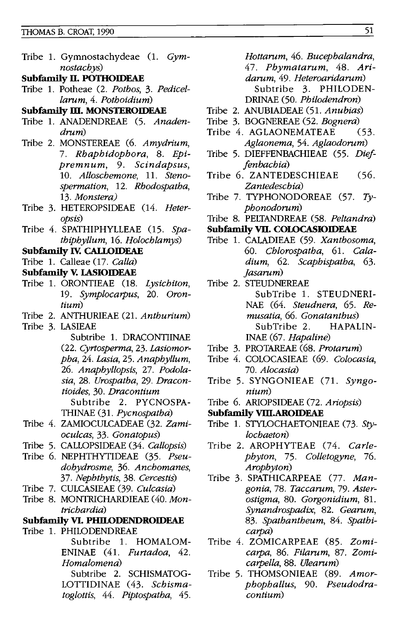- Tribe 1. Gymnostachydeae (1. *Gymnostachys)*
- **Subfamily n. POTHOIDEAE**
- Tribe 1. Potheae (2. *Pothos,* 3. *Pedicellarum,* 4. *Pothoidium)*

#### **Subfamily ill. MONSTEROIDEAE**

- Tribe 1. ANADENDREAE (5. *Anadendrum)*
- Tribe 2. MONSTEREAE (6. *Amydrium, 7. Rhaphidophora,* 8. *Epipremnum,* 9. *Scindapsus, 10. Alloschemone,* 11. *Stenospermation,* 12. *Rhodospatha, 13. Monstera)*
- Tribe 3. HETEROPSIDEAE (14. *Heteropsis)*
- Tribe 4. SPATHIPHYLLEAE (15. Spa*thiphyllum,* 16. *Holochlamys)*

#### **Subfamily Iv. CAU..OIDEAE**

Tribe 1. Calleae (17. *Calla)* 

#### **Subfamily V. LASIOIDEAE**

- Tribe 1. ORONTIEAE (18. Lysichiton, *19. Symplocarpus,* 20. *Orontium)*
- Tribe 2. ANTHURIEAE (21. *Anthurium)*

Tribe 3. LASIEAE

- Subtribe 1. DRACONTIINAE *(22. Cyrtosperma,* 23. *Lasiomorpha,* 24. *Lasia,* 25. *Anaphyllum, 26. Anaphyllopsis,* 27. *Podolasia,* 28. *Urospatha,* 29. *Dracontioides,* 30. *Dracontium*  Subtribe 2. PYCNOSPA-THINAE C31. *Pycnospatha)*
- Tribe 4. ZAMIOCULCADEAE (32. *Zamioculcas,* 33. *Gonatopus)*
- Tribe 5. CALLOPSIDEAE (34. *Callopsis)*
- Tribe 6. NEPHTHYTIDEAE C35. *Pseudohydrosme,* 36. *Anchomanes, 37. Nephthytis,* 38. *Cercestis)*
- Tribe 7. CULCASIEAE (39. *Culcasia)*
- Tribe 8. MONTRICHARDIEAE (40. *Montrichardia)*

#### **Subfamily VI. PHILODENDROIDEAE**

Tribe 1. PHILODENDREAE Subtribe 1. HOMALOM-ENINAE (41. *Furtadoa, 42.* 

*Homalomena)*  Subtribe 2. SCHISMATOG-LOTTIDINAE (43. *Schismato glottis,* 44. *Piptospatha, 45.* 

*Hottarum,* 46. *Bucephalandra, 47. Phymatarum,* 48. *Aridarum,* 49. *Heteroaridarum)*  Subtribe 3. PHILODEN-DRINAE (50. *Philodendron)* 

- Tribe 2. ANUBIADEAE (51. *Anubias)*
- 
- Tribe 3. BOGNEREAE (52. *Bognera)*  Tribe 4. AGLAONEMATEAE *Aglaonema,* 54. *Aglaodorum)*
- Tribe 5. DIEFFENBACHIEAE (55. *Die/ fenbachia)*
- Tribe 6. ZANTEDESCHIEAE (56. *Zantedeschia)*
- Tribe 7. TYPHONODOREAE (57. *Typhonodorum)*
- Tribe 8. PELTANDREAE (58. *Peltandra)*

#### **Subfamily VII. COLOCASIOIDEAE**

- Tribe 1. CALADIEAE (59. *Xanthosoma, 60. Chlorospatha,* 61. *Caladium,* 62. *Scaphispatha, 63. jasarum)*
- Tribe 2. STEUDNEREAE SubTribe 1. STEUDNERI-NAE (64. *Steudnera,* 65. *Remusatia,* 66. *Gonatanthus)*  SubTribe 2. HAPALIN-INAE (67. *Hapaline)*
- Tribe 3. PROTAREAE (68. *Protarum)*
- Tribe 4. COLOCASIEAE (69. *Colocasia, 70. Alocasia)*
- Tribe 5. SYNGONIEAE (71. *Syngonium)*
- Tribe 6. ARIOPSIDEAE (72. *Ariopsis)*
- **Subfamily VIII.AROIDEAE**
- Tribe 1. STYLOCHAETONIEAE (73. *Stylochaeton)*
- Tribe 2. AROPHYTEAE (74. Carle*phyton,* 75. *Colletogyne, 76. Arophyton)*
- Tribe 3. SPATHICARPEAE (77. *Mangonia,78. Taccarum,* 79. *Asterostigma,* 80. *Gorgonidium, 81. Synandrospadix,* 82. *Gearum, 83. Spathantheum,* 84. *Spathicarpa)*
- Tribe 4. ZOMICARPEAE (85. *Zomicarpa,* 86. *Filarum,* 87. *Zomicarpella,* 88. *Ulearum)*
- Tribe 5. THOMSONIEAE (89. *Amorphophallus,* 90. *Pseudodracontium)*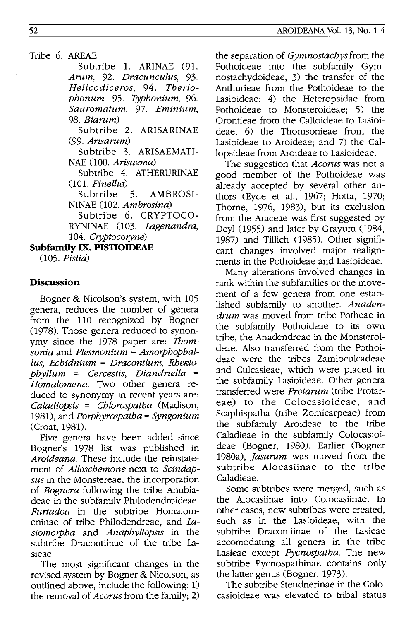Tribe 6. AREAE

Subtribe 1. ARINAE (91. *Arum,* 92. *Dracunculus,* 93. *Helicodiceros,* 94. *Theriophonum,* 95. *Typhonium, 96. Sauromatum,* 97. *Eminium,*  98. *Biarum)* 

Subtribe 2. ARISARINAE (99. *Arisarum)* 

Subtribe 3. ARISAEMATI-NAE (100. *Arisaema)* 

Subtribe 4. ATHERURINAE *001. Pinellia)* 

Subtribe 5. AMBROSI-NINAE (102. Ambrosina)

Subtribe 6. CRYPTOCO-RYNINAE (103. *Lagenandra*, 104. *Cryptocoryne)* 

**Subfamily IX. PISTIOIDEAE** 

*005. Pistia)* 

# **Discussion**

Bogner & Nicolson's system, with 105 genera, reduces the number of genera from the 110 recognized by Bogner (1978). Those genera reduced to synonymy since the 1978 paper are: *1bomsonia* and *Plesmonium* = *Amorphophal-Ius, Echidnium* = *Dracontium, Rhektophyllum* = *Cercestis, Diandriella* = *Homalomena.* Two other genera reduced to synonymy in recent years are: *Caladiopsis* = *Chlorospatha* (Madison, 1981), and *Porphyrospatha* = *Syngonium*  (Croat, 1981).

Five genera have been added since Bogner's 1978 list was published in *Aroideana.* These include the reinstatement of *Alloschemone* next to *Scindapsus* in the Monstereae, the incorporation of *Bognera* following the tribe Anubiadeae in the subfamily Philodendroideae, *Furtadoa* in the subtribe Homalomeninae of tribe Philodendreae, and La*siomorpha* and *Anaphyllopsis* in the subtribe Dracontiinae of the tribe Lasieae.

The most significant changes in the revised system by Bogner & Nicolson, as outlined above, include the following: 1) the removal of *Acorus* from the family; 2)

the separation of *Gymnostachys* from the Pothoideae into the subfamily Gymnostachydoideae; 3) the transfer of the Anthurieae from the Pothoideae to the Lasioideae; 4) the Heteropsidae from Pothoideae to Monsteroideae; 5) the Orontieae from the Calloideae to Lasioideae; 6) the Thomsonieae from the Lasioideae to Aroideae; and 7) the Callopsideae from Aroideae to Lasioideae.

The suggestion that *Acorus* was not a good member of the Pothoideae was already accepted by several other authors (Eyde et al., 1967; Hotta, 1970; Thorne, 1976, 1983), but its exclusion from the Araceae was first suggested by Deyl (1955) and later by Grayum (1984, 1987) and Tillich (1985). Other significant changes involved major realignments in the Pothoideae and Lasioideae.

Many alterations involved changes in rank within the subfamilies or the movement of a few genera from one established subfamily to another. *Anadendrum* was moved from tribe Potheae in the subfamily Pothoideae to its own tribe, the Anadendreae in the Monsteroideae. Also transferred from the Pothoideae were the tribes Zamioculcadeae and Culcasieae, which were placed in the subfamily Lasioideae. Other genera transferred were *Protarum* (tribe Protareae) to the Colocasioideae, and Scaphispatha (tribe Zomicarpeae) from the subfamily Aroideae to the tribe Caladieae in the subfamily Colocasioideae (Bogner, 1980). Earlier (Bogner 1980a), *jasarum* was moved from the subtribe Alocasiinae to the tribe Caladieae.

Some subtribes were merged, such as the Alocasiinae into Colocasiinae. In other cases, new subtribes were created, such as in the Lasioideae, with the subtribe Dracontiinae of the Lasieae accomodating all genera in the tribe Lasieae except *Pycnospatha.* The new subtribe Pycnospathinae contains only the latter genus (Bogner, 1973).

The subtribe Steudnerinae in the Colocasioideae was elevated to tribal status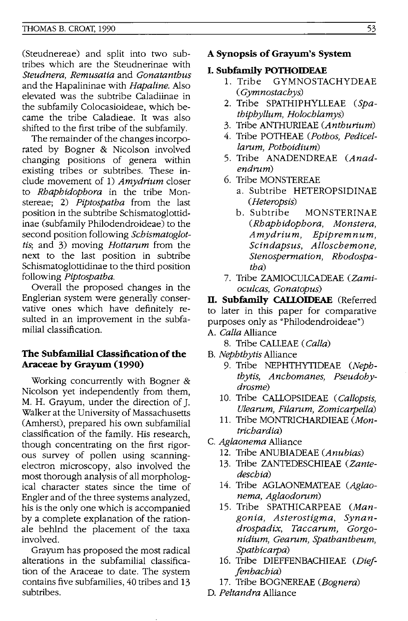(Steudnereae) and split into two subtribes which are the Steudnerinae with *Steudnera, Remusatia* and *Gonatanthus*  and the Hapalininae with *Hapaline.* Also elevated was the subtribe Caladiinae in the subfamily Colocasioideae, which became the tribe Caladieae. It was also shifted to the first tribe of the subfamily.

The remainder of the changes incorporated by Bogner & Nicolson involved changing positions of genera within existing tribes or subtribes. These include movement of 1) *Amydrium* closer to *Rhaphidophora* in the tribe Monstereaej 2) *Piptospatha* from the last position in the subtribe Schismatoglottidinae (subfamily Philodendroideae) to the second position following *Schismatoglottis, and 3) moving <i>Hottarum* from the next to the last position in subtribe Schismatoglottidinae to the third position following *Piptospatha.* 

Overall the proposed changes in the Englerian system were generally conservative ones which have definitely resulted in an improvement in the subfamilial classification.

## **The Subfamilial** Classification of the **Araceae by Grayum (1990)**

Working concurrently with Bogner & Nicolson yet independently from them, M. H. Grayum, under the direction of J. Walker at the University of Massachusetts (Amherst), prepared his own subfamilial classification of the family. His research, though concentrating on the first rigorous survey of pollen using scanningelectron microscopy, also involved the most thorough analysis of all morphological character states since the time of Engler and of the three systems analyzed, his is the only one which is accompanied by a complete explanation of the rationale behInd the placement of the taxa involved.

Grayum has proposed the most radical alterations in the subfamilial classification of the Araceae to date. The system contains five subfamilies, 40 tribes and 13 subtribes.

#### **A Synopsis of Grayum's System**

#### **I. Subfamily P011IOIDEAE**

- 1. Tribe GYMNOSTACHYDEAE *( Gymnostachys)*
- 2. Tribe SPATHIPHYLLEAE *(Spathiphyllum, Holochlamys)*
- 3. Tribe ANTHURIEAE *(Anthurium)*
- 4. Tribe POTHEAE *(Pothos, Pedicellarnm, Pothoidium)*
- 5. Tribe ANADENDREAE *(Anadendrum)*
- 6. Tribe MONSTEREAE
	- a. Subtribe HETEROPSIDINAE *(Heteropsis)*
	- b. Subtribe MONSTERINAE *(Rhaphidophora, Monstera, Amydrium, Epipremnum,*  Sc *in daps us, Alloschemone, Stenospermation, Rhodospatha)*
- 7. Tribe ZAMIOCULCADEAE *(Zamioculcas, Gonatopus)*

**II. Subfamily CALLOIDEAE** (Referred to later in this paper for comparative purposes only as "Philodendroideae")

- A. *Galla* Alliance
	- 8. Tribe CALLEAE *(Galla)*
- B. *Nephthytis* Alliance
	- 9. Tribe NEPHTHYTIDEAE *(Nephthy tis, Anchomanes, Pseudohydrosme)*
	- 10. Tribe CALLOPSIDEAE *(Gallopsis, Ulearnm, Pilarnm, Zomicarpella)*
	- **11.** Tribe MONTRICHARDIEAE *(Montrichardia)*
- C. *Aglaonema* Alliance
	- 12. Tribe ANUBIADEAE *(Anubias)*
	- 13. Tribe ZANTEDESCHIEAE *(Zantedeschia)*
	- 14. Tribe AGLAONEMATEAE *(Aglaonema, Aglaodornm)*
	- 15. Tribe SPATHICARPEAE *(Mangonia, Asterostigma, Synandrospadix, Taccarnm, Gorgonidium, Gearnm, Spathantheum, Spathicarpa)*
	- 16. Tribe DIEFFENBACHIEAE *(Die! jenbachia)*
	- 17. Tribe BOGNEREAE *(Bognera)*
- D. *Peltandra* Alliance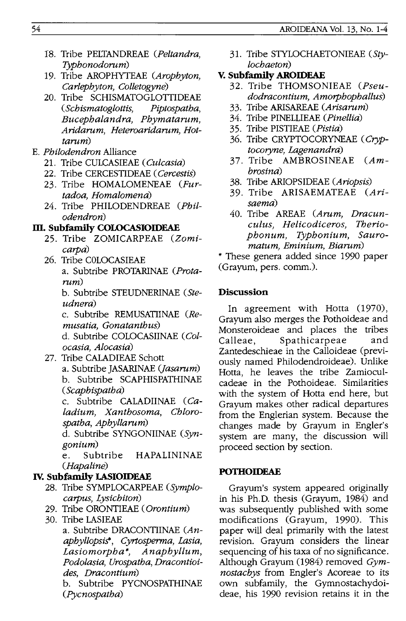- 18. Tribe PELTANDREAE (Peltandra, Typhonodorum)
- 19. Tribe AROPHYTEAE (Arophyton, Carlephyton, Colletogyne)
- 20. Tribe SCHISMATOGLOTTIDEAE (Schismatoglottis, Piptospatha, Bucephalandra, Phymatarum, Aridarum, Heteroaridarum, Hottarum)
- E. Philodendron Alliance
	- 21. Tribe CULCASIEAE (Culcasia)
	- 22. Tribe CERCESTIDEAE (Cercestis)
	- 23. Tribe HOMALOMENEAE (Furtadoa, Homalomena)
	- 24. Tribe PHILODENDREAE (Philodendron)

## **m. Subfamily COLOCASIOIDEAE**

- 25. Tribe ZOMICARPEAE (Zomicarpa)
- 26. Tribe COLOCASIEAE a. Subtribe PROTARINAE (Protarum)

b. Subtribe STEUDNERINAE (Steudnera)

c. Subtribe REMUSATIINAE (Remusatia, Gonatanthus) d. Subtribe COLOCASIINAE (Col-

ocasia, Alocasia)

27. Tribe CALADIEAE Schott a. Subtribe JASARINAE (Jasarum) b. Subtribe SCAPHISPATHINAE (Scaphispatha)

> c. Subtribe CALADIINAE (Caladium, Xanthosoma, Chlorospatha, Aphyllarum)

d. Subtribe SYNGONIINAE (Syngonium)

e. Subtribe HAPALININAE (Hapaline)

## **Iv. Subfamily LASIOIDEAE**

- 28. Tribe SYMPLOCARPEAE (Symplocarpus, Lysichiton)
- 29. Tribe ORONTIEAE (Orontium)
- 30. Tribe LASIEAE

a. Subtribe DRACONTIINAE (Anaphyllopsis\*, Cyrtosperma, Lasia, Lasiomorpha\*, Anaphyllum, Podolasia, Urospatha, Dracontioides, Dracontium)

b. Subtribe PYCNOSPATHINAE (Pycnospatha)

- 31. Tribe STYLOCHAETONIEAE (Stylochaeton)
- **V. Subfamily AROIDEAE** 
	- 32. Tribe THOMSONIEAE (Pseudodracontium, Amorphophallus)
	- 33. Tribe ARISAREAE (Arisarum)
	- 34. Tribe PINELLIEAE (Pinellia)
	- 35. Tribe PISTIEAE (Pistia)
	- 36. Tribe CRYPTOCORYNEAE (Cryptocoryne, Lagenandra)
	- 37. Tribe  $AMBROSINEAE$   $(Am$ brosina)
	- 38. Tribe ARIOPSIDEAE (Ariopsis)
	- 39. Tribe ARISAEMATEAE (Arisaema)
	- 40. Tribe AREAE (Arum, Dracunculus, Helicodiceros, Theriophonum, Typhonium, Sauromatum, Eminium, Biarum)

\* These genera added since 1990 paper (Grayum, pers. comm.).

#### **Discussion**

In agreement with Hotta (1970), Grayum also merges the Pothoideae and Monsteroideae and places the tribes Calleae, Spathicarpeae and Zantedeschieae in the Calloideae (previously named Philodendroideae). Unlike Hotta, he leaves the tribe Zamioculcadeae in the Pothoideae. Similarities with the system of Hotta end here, but Grayum makes other radical departures from the Englerian system. Because the changes made by Grayum in Engler's system are many, the discussion will proceed section by section.

#### **POTHOIDEAE**

Grayum's system appeared originally in his Ph.D. thesis (Grayum, 1984) and was subsequently published with some modifications (Grayum, 1990). This paper will deal primarily with the latest revision. Grayum considers the linear sequencing of his taxa of no significance. Although Grayum (1984) removed Gymnostachys from Engler's Acoreae to its own subfamily, the Gymnostachydoideae, his 1990 revision retains it in the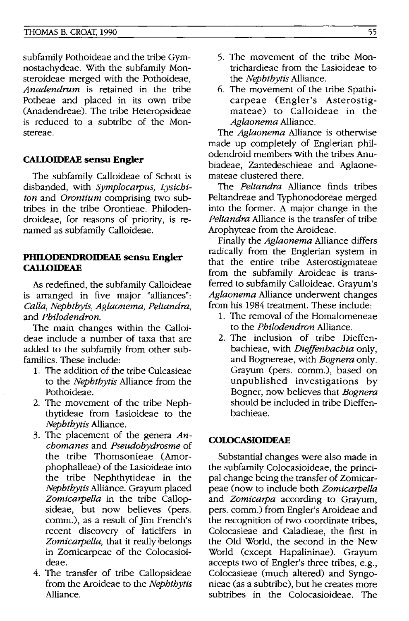#### THOMAS B. CROAT, 1990

subfamily Pothoideae and the tribe Gymnostachydeae. With the subfamily Monsteroideae merged with the Pothoideae, *Anadendrnm* is retained in the tribe Potheae and placed in its own tribe (Anadendreae). The tribe Heteropsideae is reduced to a subtribe of the Monstereae.

#### **CALLOIDEAE sensu Engler**

The subfamily Calloideae of Schott is disbanded, with *Symplocarpus, Lysichiton* and *Orontium* comprising two subtribes in the tribe Orontieae. Philodendroideae, for reasons of priority, is renamed as subfamily Calloideae.

#### **PHILODENDROIDEAE sensu Engler CALLOIDEAE**

As redefined, the subfamily Calloideae is arranged in five major "alliances": *Calla, Nephthyis, Aglaonema, Peltandra,*  and *Philodendron.* 

The main changes within the Calloideae include a number of taxa that are added to the subfamily from other subfamilies. These include:

- 1. The addition of the tribe Culcasieae to the *Nephthytis* Alliance from the Pothoideae.
- 2. The movement of the tribe Nephthytideae from Lasioideae to the *Nephthytis* Alliance.
- 3. The placement of the genera *Anchomanes* and *Pseudohydrosme* of the tribe Thomsonieae (Amorphophalleae) of the Lasioideae into the tribe Nephthytideae in the *Nephthytis* Alliance. Grayum placed *Zomicarpella* in the tribe Callopsideae, but now believes (pers. comm.), as a result of Jim French's recent discovery of laticifers in *Zomicarpella,* that it really belongs in Zomicarpeae of the Colocasioideae.
- 4. The transfer of tribe Callopsideae from the Aroideae to the *Nephthytis*  Alliance.
- 5. The movement of the tribe Montrichardieae from the Lasioideae to the *Nephthytis* Alliance.
- 6. The movement of the tribe Spathicarpeae (Engler's Asterostigmateae) to Calloideae in the *Aglaonema* Alliance.

The *Aglaonema* Alliance is otherwise made up completely of Englerian philodendroid members with the tribes Anubiadeae, Zantedeschieae and Aglaonemateae clustered there.

The *Peltandra* Alliance finds tribes Peltandreae and Typhonodoreae merged into the former. A major change in the *Peltandra* Alliance is the transfer of tribe Arophyteae from the Aroideae.

Finally the *Aglaonema* Alliance differs radically from the Englerian system in that the entire tribe Asterostigmateae from the subfamily Aroideae is transferred to subfamily Calloideae. Grayum's *Aglaonema* Alliance underwent changes from his 1984 treatment. These include:

- 1. The removal of the Homalomeneae to the *Philodendron* Alliance.
- 2. The inclusion of tribe Dieffenbachieae, with *Dieffenbachia* only, and Bognereae, with *Bognera* only. Grayum (pers. comm.), based on unpublished investigations by Bogner, now believes that *Bognera*  should be included in tribe Dieffenbachieae.

#### **COLOCASIOIDEAE**

Substantial changes were also made in the subfamily Colocasioideae, the principal change being the transfer of Zomicarpeae (now to include both *Zomicarpella*  and *Zomicarpa* according to Grayum, pers. comm.) from Engler's Aroideae and the recognition of two coordinate tribes, Colocasieae and Caladieae, the first in the Old World, the second in the New World (except Hapalininae). Grayum accepts two of Engler's three tribes, e.g., Colocasieae (much altered) and Syngonieae (as a subtribe), but he creates more subtribes in the Colocasioideae. The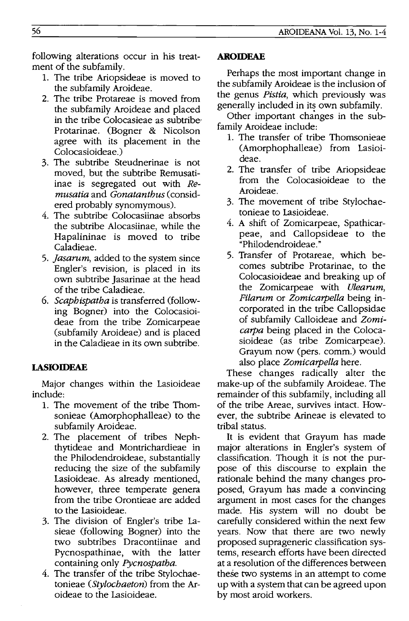following alterations occur in his treatment of the subfamily.

- 1. The tribe Ariopsideae is moved to the subfamily Aroideae.
- 2. The tribe Protareae is moved from the subfamily Aroideae and placed in the tribe Colocasieae as subtribe-Protarinae. (Bogner & Nicolson agree with its placement in the Colocasioideae.)
- 3. The subtribe Steudnerinae is not moved, but the subtribe Remusatiinae is segregated out with Re*musatia* and *Gonatanthus* (considered probably synomymous).
- 4. The subtribe Colocasiinae absorbs the subtribe Alocasiinae, while the Hapalininae is moved to tribe Caladieae.
- *5. jasarum,* added to the system since Engler's revision, is placed in its own subtribe Jasarinae at the head of the tribe Caladieae.
- *6. Scaphispatha* is transferred (following Bogner) into the Colocasioideae from the tribe Zomicarpeae (subfamily Aroideae) and is placed in the Caladieae in its own subtribe.

# **LASIOIDEAE**

Major changes within the Lasioideae include:

- 1. The movement of the tribe Thomsonieae (Amorphophalleae) to the subfamily Aroideae.
- 2. The placement of tribes Nephthytideae and Montrichardieae in the Philodendroideae, substantially reducing the size of the subfamily Lasioideae. As already mentioned, however, three temperate genera from the tribe Orontieae are added to the Lasioideae.
- 3. The division of Engler's tribe Lasieae (following Bogner) into the two subtribes Dracontiinae and Pycnospathinae, with the latter containing only *Pycnospatha.*
- 4. The transfer of the tribe Stylochaetonieae *(Stylochaeton)* from the Aroideae to the Lasioideae.

## **AROIDEAE**

Perhaps the most important change in the subfamily Aroideae is the inclusion of the genus *Pistia,* which previously was generally included in its own subfamily.

Other important changes in the subfamily Aroideae include:

- 1. The transfer of tribe Thomsonieae (Amorphophalleae) from Lasioideae.
- 2. The transfer of tribe Ariopsideae from the Colocasioideae to the Aroideae.
- 3. The movement of tribe Stylochaetonieae to Lasioideae.
- 4. A shift of Zomicarpeae, Spathicarpeae, and Callopsideae to the "Philodendroideae. »
- 5. Transfer of Protareae, which becomes subtribe Protarinae, to the Colocasioideae and breaking up of the Zomicarpeae with *Ulearum, Pilarum* or *Zomicarpella* being incorporated in the tribe Callopsidae of subfamily Calloideae and *Zomicarpa* being placed in the Colocasioideae (as tribe Zomicarpeae). Grayum now (pers. comm.) would also place *Zomicarpella* here.

These changes radically alter the make-up of the subfamily Aroideae. The remainder of this subfamily, including all of the tribe Areae, survives intact. However, the subtribe Arineae is elevated to tribal status.

**It** is evident that Grayum has made major alterations in Engler's system of classification. Though it is not the purpose of this discourse to explain the rationale behind the many changes proposed, Grayum has made a convincing argument in most cases for the changes made. His system will no doubt be carefully considered within the next few years. Now that there are two newly proposed suprageneric classification systems, research efforts have been directed at a resolution of the differences between these two systems in an attempt to come up with a system that can be agreed upon by most aroid workers.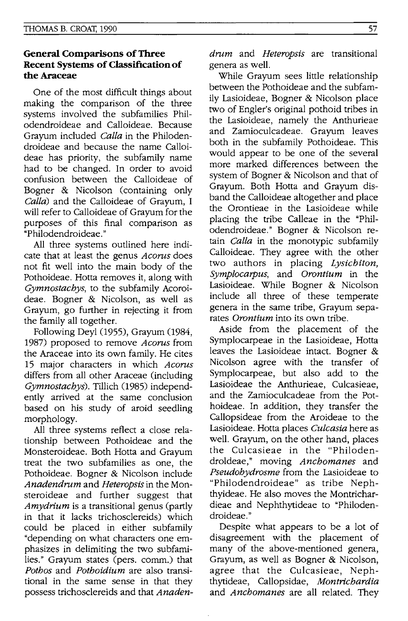## **General Comparisons of Three Recent Systems of Classification of the Araceae**

One of the most difficult things about making the comparison of the three systems involved the subfamilies Philodendroideae and Calloideae. Because Grayum included *Calla* in the Philodendroideae and because the name Calloideae has priority, the subfamily name had to be changed. In order to avoid confusion between the Calloideae of Bogner & Nicolson (containing only *Calla)* and the Calloideae of Grayum, I will refer to Calloideae of Grayum for the purposes of this final comparison as "Philodendroideae. "

All three systems outlined here indicate that at least the genus *Acorus* does not fit well into the main body of the Pothoideae. Hotta removes it, along with *Gymnostachys,* to the subfamily Acoroideae. Bogner & Nicolson, as well as Grayum, go further in rejecting it from the family all together.

Following Deyl (1955), Grayum (1984, 1987) proposed to remove *Acorus* from the Araceae into its own family. He cites 15 major characters in which *Acorus*  differs from all other Araceae (including *Gymnostachys).* Tillich (1985) independently arrived at the same conclusion based on his study of aroid seedling morphology.

All three systems reflect a close relationship between Pothoideae and the Monsteroideae. Both Hotta and Grayum treat the two subfamilies as one, the Pothoideae. Bogner & Nicolson include *Anadendrum* and *Heteropsis* in the Monsteroideae and further suggest that *Amydrium* is a transitional genus (partly in that it lacks trichosclereids) which could be placed in either subfamily "depending on what characters one emphasizes in delimiting the two subfamilies." Grayum states (pers. comm.) that *Pothos* and *Pothoidium* are also transitional in the same sense in that they possess trichosclereids and that *Anaden-* *drum* and *Heteropsis* are transitional genera as well.

While Grayum sees little relationship between the Pothoideae and the subfamily Lasioideae, Bogner & Nicolson place two of Engler's original pothoid tribes in the Lasioideae, namely the Anthurieae and Zamioculcadeae. Grayum leaves both in the subfamily Pothoideae. This would appear to be one of the several more marked differences between the system of Bogner & Nicolson and that of Grayum. Both Hotta and Grayum disband the Calloideae altogether and place the Orontieae in the Lasioideae while placing the tribe Calleae in the "Philodendroideae." Bogner & Nicolson retain *Calla* in the monotypic subfamily Calloideae. They agree with the other two authors in placing *Lysichiton, Symplocarpus,* and *Orontium* in the Lasioideae. While Bogner & Nicolson include all three of these temperate genera in the same tribe, Grayum separates *Orontium* into its own tribe.

Aside from the placement of the Symplocarpeae in the Lasioideae, Hotta leaves the Lasioideae intact. Bogner & Nicolson agree with the transfer of Symplocarpeae, but also add to the Lasioideae the Anthurieae, Culcasieae, and the Zamioculcadeae from the Pothoideae. In addition, they transfer the Callopsideae from the Aroideae to the Lasioideae. Hotta places *Cu/casia* here as well. Grayum, on the other hand, places the Culcasieae in the "Philodendroldeae," moving *Anchomanes* and *Pseudohydrosme* from the Lasioideae to "Philodendroideae" as tribe Nephthyideae. He also moves the Montrichardieae and Nephthytideae to "Philodendroideae."

Despite what appears to be a lot of disagreement with the placement of many of the above-mentioned genera, Grayum, as well as Bogner & Nicolson, agree that the Culcasieae, Nephthytideae, Callopsidae, *Montrichardia*  and *Anchomanes* are all related. They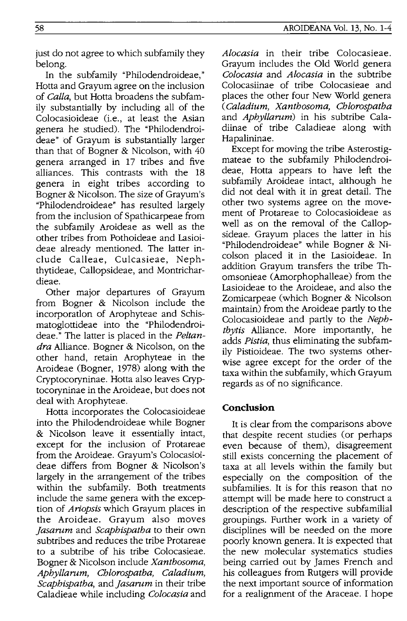just do not agree to which subfamily they belong.

In the subfamily "Philodendroideae, " Hotta and Grayum agree on the inclusion of *Calia,* but Hotta broadens the subfamily substantially by including all of the Colocasioideae (i.e., at least the Asian genera he studied). The "Philodendroideae" of Grayum is substantially larger than that of Bogner & Nicolson, with 40 genera arranged in 17 tribes and five alliances. This contrasts with the 18 genera in eight tribes according to Bogner & Nicolson. The size of Grayum's "Philodendroideae" has resulted largely from the inclusion of Spathicarpeae from the subfamily Aroideae as well as the other tribes from Pothoideae and Lasioideae already mentioned. The latter include Calleae, Culcasieae, Nephthytideae, Callopsideae, and Montrichardieae.

Other major departures of Grayum from Bogner & Nicolson include the incorporatlon of Arophyteae and Schismatoglottideae into the "Philodendroideae." The latter is placed in the *Peltandra* Alliance. Bogner & Nicolson, on the other hand, retain Arophyteae in the Aroideae (Bogner, 1978) along with the Cryptocoryninae. Hotta also leaves Cryptocoryninae in the Aroideae, but does not deal with Arophyteae.

Hotta incorporates the Colocasioideae into the Philodendroideae while Bogner & Nicolson leave it essentially intact, except for the inclusion of Protareae from the Aroideae. Grayum's Colocasioideae differs from Bogner & Nicolson's largely in the arrangement of the tribes within the subfamily. Both treatments include the same genera with the exception of *Ariopsis* which Grayum places in the Aroideae. Grayum also moves *jasarum* and *Scaphispatha* to their own subtribes and reduces the tribe Protareae to a subtribe of his tribe Colocasieae. Bogner & Nicolson include *Xanthosoma, Aphyllarum, Chlorospatha, Caladium, Scaphispatha,* and *jasarum* in their tribe Caladieae while including *Colocasia* and *Alocasia* in their tribe Colocasieae. Grayum includes the Old World genera *Colocasia* and *Alocasia* in the subtribe Colocasiinae of tribe Colocasieae and places the other four New World genera *(Caladium, Xanthosoma, Chlorospatha*  and *Aphyllarum)* in his subtribe Caladiinae of tribe Caladieae along with Hapalininae.

Except for moving the tribe Asterostigmateae to the subfamily Philodendroideae, Hotta appears to have left the subfamily Aroideae intact, although he did not deal with it in great detail. The other two systems agree on the movement of Protareae to Colocasioideae as well as on the removal of the Callopsideae. Grayum places the latter in his "Philodendroideae" while Bogner & Nicolson placed it in the Lasioideae. In addition Grayum transfers the tribe Thomsonieae (Amorphophalleae) from the Lasioideae to the Aroideae, and also the Zomicarpeae (which Bogner & Nicolson maintain) from the Aroideae partly to the Colocasioideae and partly to the *Nephthy tis* Alliance. More importantly, he adds *Pistia,* thus eliminating the subfamily Pistioideae. The two systems otherwise agree except for the order of the taxa within the subfamily, which Grayum regards as of no significance.

# **Conclusion**

It is clear from the comparisons above that despite recent studies (or perhaps even because of them), disagreement still exists concerning the placement of taxa at all levels within the family but especially on the composition of the subfamilies. It is for this reason that no attempt will be made here to construct a description of the respective subfamilial groupings. Further work in a variety of disciplines will be needed on the more poorly known genera. It is expected that the new molecular systematics studies being carried out by James French and his colleagues from Rutgers will provide the next important source of information for a realignment of the Araceae. I hope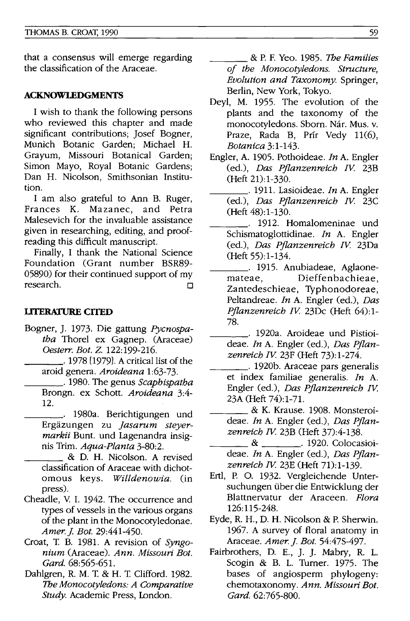that a consensus will emerge regarding the classification of the Araceae.

#### **ACKNOWLEDGMENTS**

I wish to thank the following persons who reviewed this chapter and made significant contributions; Josef Bogner, Munich Botanic Garden; Michael H. Grayum, Missouri Botanical Garden; Simon Mayo, Royal Botanic Gardens; Dan H. Nicolson, Smithsonian Institution.

I am also grateful to Ann B. Ruger, Frances K. Mazanec, and Petra Malesevich for the invaluable assistance given in researching, editing, and proofreading this difficult manuscript.

Finally, I thank the National Science Foundation (Grant number BSR89- 05890) for their continued support of my research.  $\Box$ 

#### **liTERATURE CITED**

- Bogner,]. 1973. Die gattung *Pycnospatha* Thorel ex Gagnep. (Araceae) *Oesten: Bot. Z. 122:199-216.* 
	- \_\_\_ .1978 [1979]. A critical list of the aroid genera. *Aroideana 1:63-73.*
	- \_\_\_ . 1980. The genus *Scaphispatha*  Brongn. ex Schott. *Aroideana 3:4-* 12.
	- \_\_\_\_ . 1980a. Berichtigungen und Ergazungen zu *Jasarum steyermarkii* Bunt. und Lagenandra insignis Trim. *Aqua-Planta 3-80:2.*

& D. H. Nicolson. A revised classification of Araceae with dichotomous keys. *Willdenowia.* (in press).

- Cheadle, V. 1. 1942. The occurrence and types of vessels in the various organs of the plant in the Monocotyledonae. *Amer.] Bot. 29:441-450.*
- Croat, T B. 1981. A revision of *Syngonium* (Araceae). *Ann. Missouri Bot. Card. 68:565-651.*
- Dahlgren, R. M. T. & H. T. Clifford. 1982. The *Monocotyledons: A Comparative Study.* Academic Press, London.

\_\_\_\_ & P. F. Yeo. 1985. The *Families of the Monocotyledons. Structure, Evolution and Taxonomy.* Springer, Berlin, New York, Tokyo.

- Deyl, M. 1955. The evolution of the plants and the taxonomy of the monocotyledons. Sborn. Nár. Mus. v. Praze, Rada B, Prír Vedy 11(6), *Botanica 3:1-143.*
- Engler, A. 1905. Pothoideae. *In* A. Engler (ed.), *Das Pflanzenreich IV* 23B (Heft 21):1-330.
	- \_\_\_\_ . 1911. Lasioideae. *In* A. Engler (ed.), *Das Pflanzenreich IV* 23C (Heft 48):1-130.
- \_\_\_\_ . 1912. Homalomeninae und Schismatoglottidinae. *In* A. Engler (ed.), *Das Pflanzenreich IV* 23Da (Heft 55):1-134.
- \_\_\_\_\_. 1915. Anubiadeae, Aglaone-<br>mateae. Dieffenbachieae. Dieffenbachieae, Zantedeschieae, Typhonodoreae, Peltandreae. *In* A. Engler (ed.), *Das Pflanzenreich IV* 23Dc (Heft 64):1- 78.
- \_\_\_\_ . 1920a. Aroideae und Pistioideae. *In* A. Engler (ed.), *Das Pflanzenreich IV* 23F (Heft 73):1-274.
- \_\_\_\_ . 1920b. Araceae pars generalis et index familiae generalis. *In* A. Engler (ed.), *Das Pflanzenreich IV*  23A (Heft 74):1-71.
- \_\_\_\_ & K. Krause. 1908. Monsteroideae. *In* A. Engler (ed.), *Das Pflanzen reich IV* 23B CHeft 37):4-138.
- \_ & \_\_\_\_\_\_\_\_. 1920. Colocasioideae. *In* A. Engler (ed.), *Das Pflanzenreich IV* 23E (Heft 71):1-139.
- Ertl, P. o. 1932. Vergleichende Untersuchungen ilber die Entwicklung der Blattnervatur der Araceen. *Flora*  126:115-248.
- Eyde, R. H., D. H. Nicolson & P. Sherwin. 1967. A survey of floral anatomy in Araceae. *Amer. j. Bot.* 54:47S-497.
- Fairbrothers, D. E., ]. ]. Mabry, R. 1. Scogin & B. L. Turner. 1975. The bases of angiosperm phylogeny: chemotaxonomy. *Ann. Missouri Bot. Card.* 62:765-800.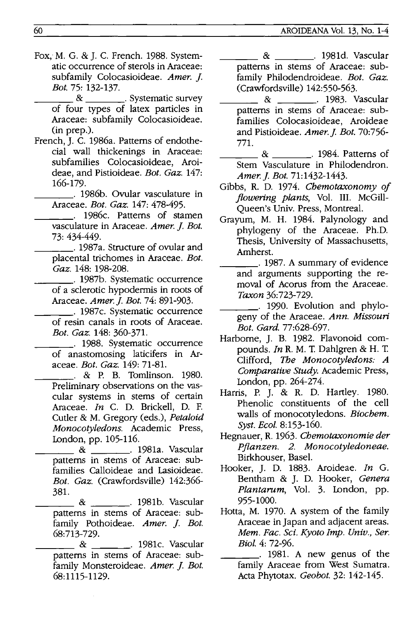- Fox, M. G. & J. C. French. 1988. Systematic occurrence of sterols in Araceae: subfamily Colocasioideae. *Amer.* ]. *Bot.* 75: 132-137.
	- $\&$   $\&$   $\qquad$   $\qquad$   $\qquad$   $\qquad$   $\qquad$   $\qquad$   $\qquad$   $\qquad$   $\qquad$   $\qquad$   $\qquad$   $\qquad$   $\qquad$   $\qquad$   $\qquad$   $\qquad$   $\qquad$   $\qquad$   $\qquad$   $\qquad$   $\qquad$   $\qquad$   $\qquad$   $\qquad$   $\qquad$   $\qquad$   $\qquad$   $\qquad$   $\qquad$   $\qquad$   $\qquad$   $\qquad$   $\qquad$   $\qquad$   $\qquad$  of four types of latex particles in Araceae: subfamily Colocasioideae. (in prep.).
- French, J. C. 1986a. Patterns of endothecial wall thickenings in Araceae: subfamilies Colocasioideae, Aroideae, and Pistioideae. *Bot. Gaz. 147:*  166-179.
- \_\_\_\_ . 1986b. Ovular vasculature in Araceae. *Bot. Gaz.* 147: 478-495.

\_\_\_\_ . 1986c. Patterns of stamen vasculature in Araceae. *Amer.* ]. *Bot.*  73: 434-449.

- \_\_\_\_. 1987a. Structure of ovular and placental trichomes in Araceae. *Bot. Gaz.* 148: 198-208.
- \_\_\_\_ . 1987b. Systematic occurrence of a sclerotic hypodermis in roots of Araceae. *Amer.]. Bot.* 74: 891-903.
- \_\_\_\_ . 1987c. Systematic occurrence of resin canals in roots of Araceae. *Bot. Gaz.* 148: 360-371.
- \_\_\_\_ . 1988. Systematic occurrence of anastomosing laticifers in Araceae. *Bot. Gaz.* 149: 71-81.
- \_\_\_ . & P. B. Tomlinson. 1980. Preliminary observations on the vascular systems in stems of certain Araceae. *In* C. D. Brickell, D. F. Cutler & M. Gregory (eds.), *Petaloid Monocotyledons.* Academic Press,
- lDndon, pp. 105-116. \_\_\_\_ & . 1981a. Vascular patterns in stems of Araceae: subfamilies Calloideae and Lasioideae. *Bot. Gaz.* (Crawfordsville) 142:366- 381.
	- & . 1981b. Vascular patterns in stems of Araceae: subfamily Pothoideae. Amer. J. Bot. 68:713-729.
	- & . 1981c. Vascular patterns in stems of Araceae: subfamily Monsteroideae. Amer. J. Bot. 68:1115-1129.
- \_\_\_ & . 1981d. Vascular patterns in stems of Araceae: subfamily Philodendroideae. *Bot. Gaz.*  (Crawfordsville) 142:550-563.
- & . 1983. Vascular patterns in stems of Araceae: subfamilies Colocasioideae, Aroideae and Pistioideae. *Amer.J Bot. 70:756-* 771.
- \_\_\_ & . 1984. Patterns of Stem Vasculature in Philodendron. *Amer.]. Bot. 71:1432-1443.*
- Gibbs, R. D. 1974. *Cbemotaxonomy of flowering plants,* Vol. III. McGill-Queen's Univ. Press, Montreal.
- Grayum, M. H. 1984. Palynology and phylogeny of the Araceae. Ph.D. Thesis, University of Massachusetts, Amherst.
	- \_\_\_\_ . 1987. A summary of evidence and arguments supporting the removal of Acorus from the Araceae. *Taxon 36:723-729.* 
		- \_\_\_ . 1990. Evolution and phylogeny of the Araceae. *Ann. Missouri Bot. Gard. 77:628-697.*
- Harborne, J. B. 1982. Flavonoid compounds. *In* R. M. T. Dahlgren & H. T. Clifford, The *Monocotyledons: A Comparative Study.* Academic Press, london, pp. 264-274.
- Harris, P. J. & R. D. Hartley. 1980. Phenolic constituents of the cell walls of monocotyledons. *Biocbem. Syst. Bcol. 8:153-160.*
- Hegnauer, R. 1963. *Cbemotaxonomie der Pflanzen.* 2. *Monocotyledoneae.*  Birkhouser, Basel.
- Hooker, J. D. 1883. Aroideae. *In* G. Bentham & J. D. Hooker, *Genera*  Plantarum, Vol. 3. London, pp. 955-1000.
- Hotta, M. 1970. A system of the family Araceae in Japan and adjacent areas. *Mem. Fac. Sci. Kyoto Imp. Univ., Ser. BioI.* 4: 72-96.
- \_\_\_\_ . 1981. A new genus of the family Araceae from West Sumatra. Acta Phytotax. *Geobot.* 32: 142-145.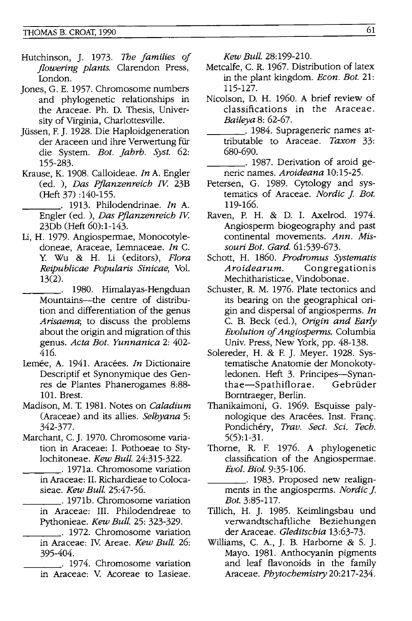- Hutchinson, J. 1973. The *families of jlowering plants.* Clarendon Press, london.
- Jones, G. E. 1957. Chromosome numbers and phylogenetic relationships in the Araceae. Ph. D. Thesis, University of Virginia, Charlottesville.
- Jiissen, F. J. 1928. Die Haploidgeneration der Araceen und ihre Verwertung fur die System. *Bot. jahrb. Syst. 62:*  155-283.
- Krause, K. 1908. Calloideae. *In* A. Engler (ed. ), *Das Pjlanzenreich W.* 23B (Heft 37) :140-155.
	- \_\_\_ '. 1913. Philodendrinae. *In* A. Engler (ed. ), *Das Pjlanzenreich W.*  23Db (Heft 60): 1-143.
- Li, H. 1979. Angiospermae, Monocotyledoneae, Araceae, Lemnaceae. *In* C. y. Wu & H. Li (editors), *Flora Reipublicae Popularis Sinicae,* Vol. 13(2).
- \_\_\_ . 1980. Himalayas-Hengduan Mountains--- the centre of distribution and differentiation of the genus *Arisaema;* to discuss the problems about the origin and migration of this genus. *Acta Bot. Yunnanica* 2: 402- 416.
- Lemée, A. 1941. Aracées. *In* Dictionaire Descriptif et Synonymique des Genres de Plantes Phanerogames 8:88- 101. Brest.
- Madison, M. T. 1981. Notes on *Caladium*  (Araceae) and its allies. *Selbyana 5:*  342-377.
- Marchant, C. J. 1970. Chromosome variation in Araceae: I. Pothoeae to Stylochitoneae. *Kew Bull. 24:315-322.* \_\_\_ . 1971a. Chromosome variation
	- in Araceae: II. Richardieae to Colocasieae. *Kew Bull. 25:47-56.*
	- \_\_\_ . 1971b. Chromosome variation in Araceae: III. Philodendreae to
- Pythonieae. *Kew Bull.* 25: 323-329. \_\_\_ . 1972. Chromosome variation in Araceae: Iv. Areae. *Kew Bull. 26:*  395-404. \_\_\_ . 1974. Chromosome variation
	- in Araceae: V. Acoreae to Lasieae.

*Kew Bull. 28:199-210.* 

- Metcalfe, C. R. 1967. Distribution of latex in the plant kingdom. *Econ. Bot. 21:*  115-127.
- Nicolson, D. H. 1960. A brief review of classifications in the Araceae. *Baileya* 8: 62-67.
- \_\_\_ . 1984. Suprageneric names attributable to Araceae. *Taxon 33:*  680-690.
- \_\_\_ '. 1987. Derivation of aroid generic names. *Aroideana 10:15-25.*
- Petersen, G. 1989. Cytology and systematics of Araceae. *Nordic J. Bot.* 119-166.
- Raven, P. H. & D. I. Axelrod. 1974. Angiosperm biogeography and past continental movements. *Ann. Missouri Bot. Gard. 61:539-673.*
- Schott, H. 1860. *Prodromus Systematis Aroidearum.* Congregationis Mechitharisticae, Vindobonae.
- Schuster, R. M. 1976. Plate tectonics and its bearing on the geographical origin and dispersal of angiosperms. *In*  C. B. Beck (ed.), *Origin and Early Evolution of Angiosperms.* Columbia Univ. Press, New York, pp. 48-138.
- Solereder, H. & F. J. Meyer. 1928. Systematische Anatomie der Monokotyledonen. Heft 3. Principes-Synanthae-Spathiflorae. Gebriider Bomtraeger, Berlin.
- Thanikaimoni, G. 1969. Esquisse palynologique des Aracées. Inst. Franç. Pondichery, *Trav. Sect. Sci. Tech.*  5(5):1-31.
- Thome, R. F. 1976. A phylogenetic classification of the Angiospermae. *Evol. Bioi. 9:35-106.*
- \_\_\_ . 1983. Proposed new realignments in the angiosperms. *Nordic]. Bot.* 3:85-117.
- Tillich, H. J. 1985. Keimlingsbau und verwandtschaftliche Beziehungen der Araceae. *Gleditschia 13:63-73.*
- Williams, C. A., J. B. Harbome & S. J. Mayo. 1981. Anthocyanin pigments and leaf flavonoids in the family Araceae. *Phytochemistry 20:217-234.*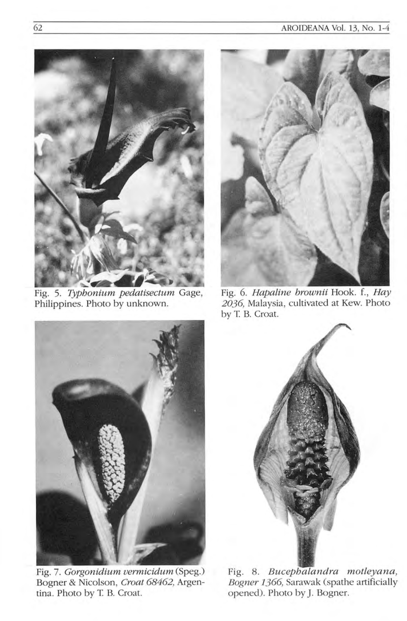

Fig. 5. *Typhonium pedatisectum* Gage, Philippines. Photo by unknown.



Fig. 7. *Gorgonidium vermicidum* (Speg.) Bogner & Nicolson, *Croat* 68462, Argentina. Photo by T B. Croat.



Fig. 6. *Hapaline brownii* Hook. f, *Hay*  2036, Malaysia, cultivated at Kew. Photo by T. B. Croat.



Fig. 8. *Bucephalandra motleyana*, *Bogner* 1366, Sarawak (spathe artificially opened). Photo by J. Bogner.